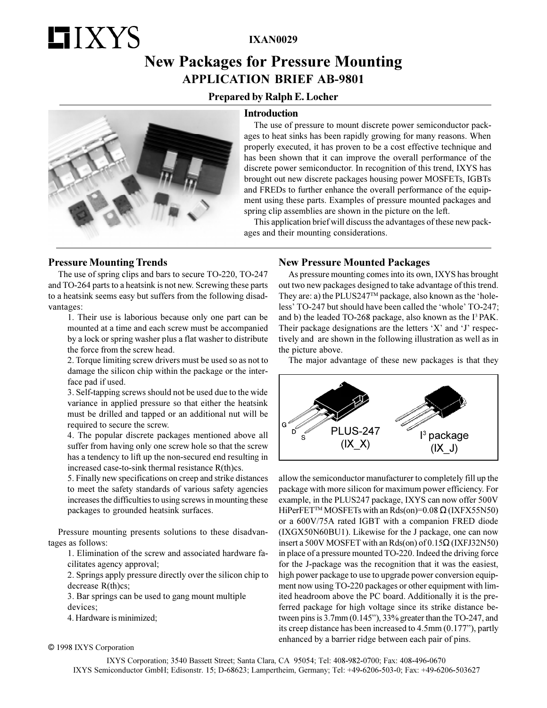# **HIXYS**

**IXAN0029**

## **New Packages for Pressure Mounting APPLICATION BRIEF AB-9801**

## **Prepared by Ralph E. Locher**

### **Introduction**



The use of pressure to mount discrete power semiconductor packages to heat sinks has been rapidly growing for many reasons. When properly executed, it has proven to be a cost effective technique and has been shown that it can improve the overall performance of the discrete power semiconductor. In recognition of this trend, IXYS has brought out new discrete packages housing power MOSFETs, IGBTs and FREDs to further enhance the overall performance of the equipment using these parts. Examples of pressure mounted packages and spring clip assemblies are shown in the picture on the left.

This application brief will discuss the advantages of these new packages and their mounting considerations.

## **Pressure Mounting Trends**

The use of spring clips and bars to secure TO-220, TO-247 and TO-264 parts to a heatsink is not new. Screwing these parts to a heatsink seems easy but suffers from the following disadvantages:

1. Their use is laborious because only one part can be mounted at a time and each screw must be accompanied by a lock or spring washer plus a flat washer to distribute the force from the screw head.

2. Torque limiting screw drivers must be used so as not to damage the silicon chip within the package or the interface pad if used.

3. Self-tapping screws should not be used due to the wide variance in applied pressure so that either the heatsink must be drilled and tapped or an additional nut will be required to secure the screw.

4. The popular discrete packages mentioned above all suffer from having only one screw hole so that the screw has a tendency to lift up the non-secured end resulting in increased case-to-sink thermal resistance R(th)cs.

5. Finally new specifications on creep and strike distances to meet the safety standards of various safety agencies increases the difficulties to using screws in mounting these packages to grounded heatsink surfaces.

Pressure mounting presents solutions to these disadvantages as follows:

1. Elimination of the screw and associated hardware facilitates agency approval;

2. Springs apply pressure directly over the silicon chip to decrease R(th)cs;

3. Bar springs can be used to gang mount multiple devices;

4. Hardware is minimized;

© 1998 IXYS Corporation

## **New Pressure Mounted Packages**

As pressure mounting comes into its own, IXYS has brought out two new packages designed to take advantage of this trend. They are: a) the PLUS247<sup>TM</sup> package, also known as the 'holeless' TO-247 but should have been called the 'whole' TO-247; and b) the leaded TO-268 package, also known as the I<sup>3</sup> PAK. Their package designations are the letters  $'X'$  and  $'J'$  respectively and are shown in the following illustration as well as in the picture above.

The major advantage of these new packages is that they



allow the semiconductor manufacturer to completely fill up the package with more silicon for maximum power efficiency. For example, in the PLUS247 package, IXYS can now offer 500V HiPerFET<sup>™</sup> MOSFETs with an Rds(on)=0.08  $\Omega$  (IXFX55N50) or a 600V/75A rated IGBT with a companion FRED diode (IXGX50N60BU1). Likewise for the J package, one can now insert a 500V MOSFET with an Rds(on) of 0.15Ω (IXFJ32N50) in place of a pressure mounted TO-220. Indeed the driving force for the J-package was the recognition that it was the easiest, high power package to use to upgrade power conversion equipment now using TO-220 packages or other equipment with limited headroom above the PC board. Additionally it is the preferred package for high voltage since its strike distance between pins is  $3.7$ mm  $(0.145)$ ,  $33\%$  greater than the TO-247, and its creep distance has been increased to  $4.5$ mm  $(0.177)$ , partly enhanced by a barrier ridge between each pair of pins.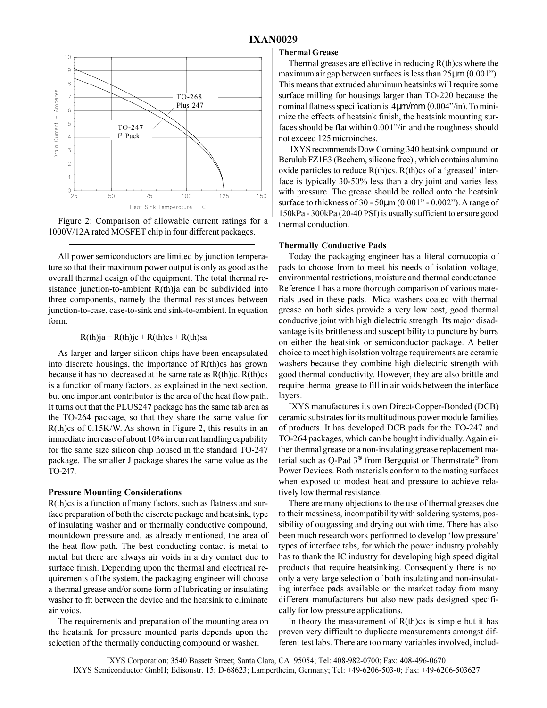



All power semiconductors are limited by junction temperature so that their maximum power output is only as good as the overall thermal design of the equipment. The total thermal resistance junction-to-ambient R(th)ja can be subdivided into three components, namely the thermal resistances between junction-to-case, case-to-sink and sink-to-ambient. In equation form:

 $R(th)ja = R(th)ic + R(th)cs + R(th)sa$ 

As larger and larger silicon chips have been encapsulated into discrete housings, the importance of R(th)cs has grown because it has not decreased at the same rate as  $R(th)$ jc.  $R(th)$ cs is a function of many factors, as explained in the next section, but one important contributor is the area of the heat flow path. It turns out that the PLUS247 package has the same tab area as the TO-264 package, so that they share the same value for R(th)cs of 0.15K/W. As shown in Figure 2, this results in an immediate increase of about 10% in current handling capability for the same size silicon chip housed in the standard TO-247 package. The smaller J package shares the same value as the TO-247.

#### **Pressure Mounting Considerations**

R(th)cs is a function of many factors, such as flatness and surface preparation of both the discrete package and heatsink, type of insulating washer and or thermally conductive compound, mountdown pressure and, as already mentioned, the area of the heat flow path. The best conducting contact is metal to metal but there are always air voids in a dry contact due to surface finish. Depending upon the thermal and electrical requirements of the system, the packaging engineer will choose a thermal grease and/or some form of lubricating or insulating washer to fit between the device and the heatsink to eliminate air voids.

The requirements and preparation of the mounting area on the heatsink for pressure mounted parts depends upon the selection of the thermally conducting compound or washer.

#### **Thermal Grease**

Thermal greases are effective in reducing  $R$ (th)cs where the maximum air gap between surfaces is less than  $25\mu$ m (0.001"). This means that extruded aluminum heatsinks will require some surface milling for housings larger than TO-220 because the nominal flatness specification is  $4\mu$ m/mm  $(0.004$ <sup>2</sup>/in). To minimize the effects of heatsink finish, the heatsink mounting surfaces should be flat within 0.001"/in and the roughness should not exceed 125 microinches.

 IXYS recommends Dow Corning 340 heatsink compound or Berulub FZ1E3 (Bechem, silicone free) , which contains alumina oxide particles to reduce  $R(th)cs$ .  $R(th)cs$  of a 'greased' interface is typically 30-50% less than a dry joint and varies less with pressure. The grease should be rolled onto the heatsink surface to thickness of  $30 - 50\mu m (0.001" - 0.002")$ . A range of 150kPa - 300kPa (20-40 PSI) is usually sufficient to ensure good thermal conduction.

#### **Thermally Conductive Pads**

Today the packaging engineer has a literal cornucopia of pads to choose from to meet his needs of isolation voltage, environmental restrictions, moisture and thermal conductance. Reference 1 has a more thorough comparison of various materials used in these pads. Mica washers coated with thermal grease on both sides provide a very low cost, good thermal conductive joint with high dielectric strength. Its major disadvantage is its brittleness and susceptibility to puncture by burrs on either the heatsink or semiconductor package. A better choice to meet high isolation voltage requirements are ceramic washers because they combine high dielectric strength with good thermal conductivity. However, they are also brittle and require thermal grease to fill in air voids between the interface layers.

IXYS manufactures its own Direct-Copper-Bonded (DCB) ceramic substrates for its multitudinous power module families of products. It has developed DCB pads for the TO-247 and TO-264 packages, which can be bought individually. Again either thermal grease or a non-insulating grease replacement material such as Q-Pad 3® from Bergquist or Thermstrate® from Power Devices. Both materials conform to the mating surfaces when exposed to modest heat and pressure to achieve relatively low thermal resistance.

There are many objections to the use of thermal greases due to their messiness, incompatibility with soldering systems, possibility of outgassing and drying out with time. There has also been much research work performed to develop 'low pressure' types of interface tabs, for which the power industry probably has to thank the IC industry for developing high speed digital products that require heatsinking. Consequently there is not only a very large selection of both insulating and non-insulating interface pads available on the market today from many different manufacturers but also new pads designed specifically for low pressure applications.

In theory the measurement of  $R$ (th)cs is simple but it has proven very difficult to duplicate measurements amongst different test labs. There are too many variables involved, includ-